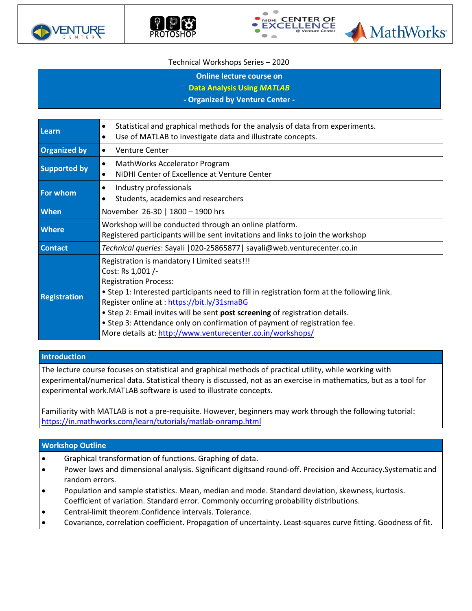







## Technical Workshops Series – 2020

**Online lecture course on** 

**Data Analysis Using** *MATLAB*

**- Organized by Venture Center -**

| Learn               | Statistical and graphical methods for the analysis of data from experiments.<br>$\bullet$  |  |  |
|---------------------|--------------------------------------------------------------------------------------------|--|--|
|                     | Use of MATLAB to investigate data and illustrate concepts.<br>٠                            |  |  |
| <b>Organized by</b> | <b>Venture Center</b><br>$\bullet$                                                         |  |  |
| <b>Supported by</b> | MathWorks Accelerator Program<br>$\bullet$                                                 |  |  |
|                     | NIDHI Center of Excellence at Venture Center<br>$\bullet$                                  |  |  |
| <b>For whom</b>     | Industry professionals<br>$\bullet$                                                        |  |  |
|                     | Students, academics and researchers<br>$\bullet$                                           |  |  |
| <b>When</b>         | November 26-30   1800 - 1900 hrs                                                           |  |  |
| <b>Where</b>        | Workshop will be conducted through an online platform.                                     |  |  |
|                     | Registered participants will be sent invitations and links to join the workshop            |  |  |
| <b>Contact</b>      | Technical queries: Sayali   020-25865877   sayali@web.venturecenter.co.in                  |  |  |
| <b>Registration</b> | Registration is mandatory I Limited seats!!!                                               |  |  |
|                     | Cost: Rs 1,001 /-                                                                          |  |  |
|                     | <b>Registration Process:</b>                                                               |  |  |
|                     | • Step 1: Interested participants need to fill in registration form at the following link. |  |  |
|                     | Register online at: https://bit.ly/31smaBG                                                 |  |  |
|                     | . Step 2: Email invites will be sent post screening of registration details.               |  |  |
|                     | • Step 3: Attendance only on confirmation of payment of registration fee.                  |  |  |
|                     | More details at: http://www.venturecenter.co.in/workshops/                                 |  |  |

## **Introduction**

The lecture course focuses on statistical and graphical methods of practical utility, while working with experimental/numerical data. Statistical theory is discussed, not as an exercise in mathematics, but as a tool for experimental work.MATLAB software is used to illustrate concepts.

Familiarity with MATLAB is not a pre-requisite. However, beginners may work through the following tutorial: <https://in.mathworks.com/learn/tutorials/matlab-onramp.html>

## **Workshop Outline**

- Graphical transformation of functions. Graphing of data.
- Power laws and dimensional analysis. Significant digitsand round-off. Precision and Accuracy.Systematic and random errors.
- Population and sample statistics. Mean, median and mode. Standard deviation, skewness, kurtosis. Coefficient of variation. Standard error. Commonly occurring probability distributions.
- Central-limit theorem.Confidence intervals. Tolerance.
- Covariance, correlation coefficient. Propagation of uncertainty. Least-squares curve fitting. Goodness of fit.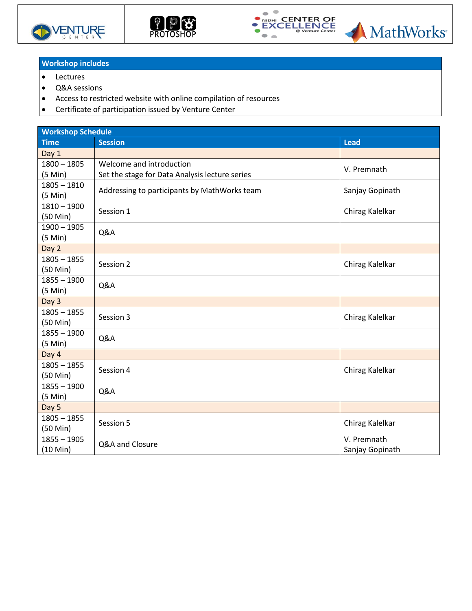







## **Workshop includes**

- Lectures
- Q&A sessions
- Access to restricted website with online compilation of resources
- Certificate of participation issued by Venture Center

| <b>Workshop Schedule</b>            |                                                |                                |  |  |
|-------------------------------------|------------------------------------------------|--------------------------------|--|--|
| <b>Time</b>                         | <b>Session</b>                                 | <b>Lead</b>                    |  |  |
| Day 1                               |                                                |                                |  |  |
| $1800 - 1805$                       | Welcome and introduction                       | V. Premnath                    |  |  |
| $(5$ Min $)$                        | Set the stage for Data Analysis lecture series |                                |  |  |
| $1805 - 1810$<br>(5 Min)            | Addressing to participants by MathWorks team   | Sanjay Gopinath                |  |  |
| $1810 - 1900$<br>(50 Min)           | Session 1                                      | Chirag Kalelkar                |  |  |
| $1900 - 1905$<br>(5 Min)            | Q&A                                            |                                |  |  |
| Day 2                               |                                                |                                |  |  |
| $1805 - 1855$                       | Session 2                                      | Chirag Kalelkar                |  |  |
| (50 Min)                            |                                                |                                |  |  |
| $1855 - 1900$<br>(5 Min)            | Q&A                                            |                                |  |  |
| Day 3                               |                                                |                                |  |  |
| $1805 - 1855$<br>(50 Min)           | Session 3                                      | Chirag Kalelkar                |  |  |
| $1855 - 1900$<br>(5 Min)            | Q&A                                            |                                |  |  |
| Day 4                               |                                                |                                |  |  |
| $1805 - 1855$<br>(50 Min)           | Session 4                                      | Chirag Kalelkar                |  |  |
| $1855 - 1900$<br>(5 Min)            | Q&A                                            |                                |  |  |
| Day 5                               |                                                |                                |  |  |
| $1805 - 1855$<br>(50 Min)           | Session 5                                      | Chirag Kalelkar                |  |  |
| $1855 - 1905$<br>$(10 \text{ Min})$ | Q&A and Closure                                | V. Premnath<br>Sanjay Gopinath |  |  |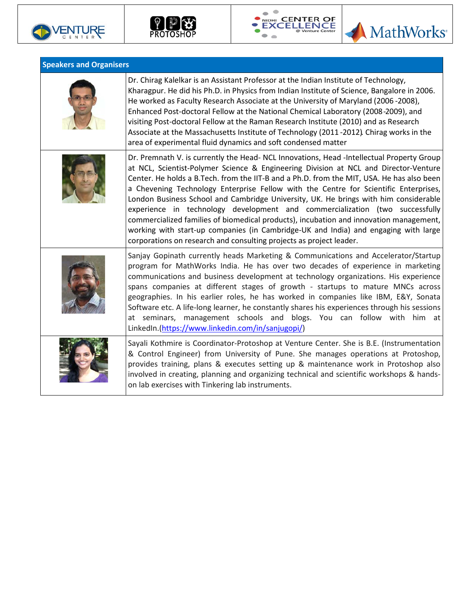







| <b>Speakers and Organisers</b> |                                                                                                                                                                                                                                                                                                                                                                                                                                                                                                                                                                                                                                                                                                                                                                                                        |  |
|--------------------------------|--------------------------------------------------------------------------------------------------------------------------------------------------------------------------------------------------------------------------------------------------------------------------------------------------------------------------------------------------------------------------------------------------------------------------------------------------------------------------------------------------------------------------------------------------------------------------------------------------------------------------------------------------------------------------------------------------------------------------------------------------------------------------------------------------------|--|
|                                | Dr. Chirag Kalelkar is an Assistant Professor at the Indian Institute of Technology,<br>Kharagpur. He did his Ph.D. in Physics from Indian Institute of Science, Bangalore in 2006.<br>He worked as Faculty Research Associate at the University of Maryland (2006 -2008),<br>Enhanced Post-doctoral Fellow at the National Chemical Laboratory (2008-2009), and<br>visiting Post-doctoral Fellow at the Raman Research Institute (2010) and as Research<br>Associate at the Massachusetts Institute of Technology (2011-2012). Chirag works in the<br>area of experimental fluid dynamics and soft condensed matter                                                                                                                                                                                   |  |
|                                | Dr. Premnath V. is currently the Head- NCL Innovations, Head -Intellectual Property Group<br>at NCL, Scientist-Polymer Science & Engineering Division at NCL and Director-Venture<br>Center. He holds a B.Tech. from the IIT-B and a Ph.D. from the MIT, USA. He has also been<br>a Chevening Technology Enterprise Fellow with the Centre for Scientific Enterprises,<br>London Business School and Cambridge University, UK. He brings with him considerable<br>experience in technology development and commercialization (two successfully<br>commercialized families of biomedical products), incubation and innovation management,<br>working with start-up companies (in Cambridge-UK and India) and engaging with large<br>corporations on research and consulting projects as project leader. |  |
|                                | Sanjay Gopinath currently heads Marketing & Communications and Accelerator/Startup<br>program for MathWorks India. He has over two decades of experience in marketing<br>communications and business development at technology organizations. His experience<br>spans companies at different stages of growth - startups to mature MNCs across<br>geographies. In his earlier roles, he has worked in companies like IBM, E&Y, Sonata<br>Software etc. A life-long learner, he constantly shares his experiences through his sessions<br>at seminars, management schools and blogs. You can follow with him at<br>LinkedIn.(https://www.linkedin.com/in/sanjugopi/)                                                                                                                                    |  |
|                                | Sayali Kothmire is Coordinator-Protoshop at Venture Center. She is B.E. (Instrumentation<br>& Control Engineer) from University of Pune. She manages operations at Protoshop,<br>provides training, plans & executes setting up & maintenance work in Protoshop also<br>involved in creating, planning and organizing technical and scientific workshops & hands-<br>on lab exercises with Tinkering lab instruments.                                                                                                                                                                                                                                                                                                                                                                                  |  |